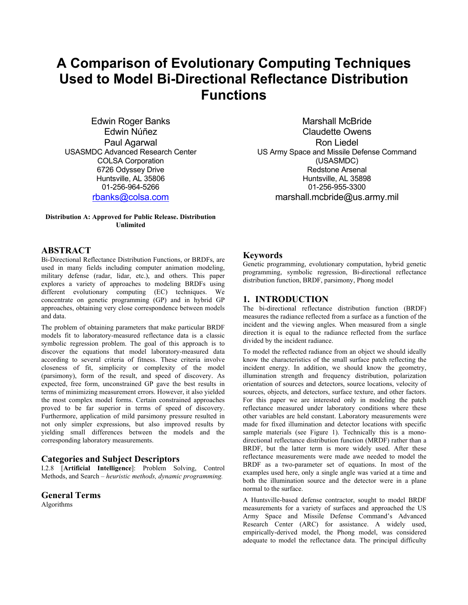# **A Comparison of Evolutionary Computing Techniques Used to Model Bi-Directional Reflectance Distribution Functions**

Edwin Roger Banks Edwin Núñez Paul Agarwal USASMDC Advanced Research Center COLSA Corporation 6726 Odyssey Drive Huntsville, AL 35806 01-256-964-5266 rbanks@colsa.com

#### **Distribution A: Approved for Public Release. Distribution Unlimited**

Marshall McBride Claudette Owens Ron Liedel US Army Space and Missile Defense Command (USASMDC) Redstone Arsenal Huntsville, AL 35898 01-256-955-3300 marshall.mcbride@us.army.mil

## **ABSTRACT**

Bi-Directional Reflectance Distribution Functions, or BRDFs, are used in many fields including computer animation modeling, military defense (radar, lidar, etc.), and others. This paper explores a variety of approaches to modeling BRDFs using different evolutionary computing (EC) techniques. We concentrate on genetic programming (GP) and in hybrid GP approaches, obtaining very close correspondence between models and data.

The problem of obtaining parameters that make particular BRDF models fit to laboratory-measured reflectance data is a classic symbolic regression problem. The goal of this approach is to discover the equations that model laboratory-measured data according to several criteria of fitness. These criteria involve closeness of fit, simplicity or complexity of the model (parsimony), form of the result, and speed of discovery. As expected, free form, unconstrained GP gave the best results in terms of minimizing measurement errors. However, it also yielded the most complex model forms. Certain constrained approaches proved to be far superior in terms of speed of discovery. Furthermore, application of mild parsimony pressure resulted in not only simpler expressions, but also improved results by yielding small differences between the models and the corresponding laboratory measurements.

## **Categories and Subject Descriptors**

I.2.8 [**Artificial Intelligence**]: Problem Solving, Control Methods, and Search – *heuristic methods, dynamic programming.* 

**General Terms** Algorithms

## **Keywords**

Genetic programming, evolutionary computation, hybrid genetic programming, symbolic regression, Bi-directional reflectance distribution function, BRDF, parsimony, Phong model

## **1. INTRODUCTION**

The bi-directional reflectance distribution function (BRDF) measures the radiance reflected from a surface as a function of the incident and the viewing angles. When measured from a single direction it is equal to the radiance reflected from the surface divided by the incident radiance.

To model the reflected radiance from an object we should ideally know the characteristics of the small surface patch reflecting the incident energy. In addition, we should know the geometry, illumination strength and frequency distribution, polarization orientation of sources and detectors, source locations, velocity of sources, objects, and detectors, surface texture, and other factors. For this paper we are interested only in modeling the patch reflectance measured under laboratory conditions where these other variables are held constant. Laboratory measurements were made for fixed illumination and detector locations with specific sample materials (see Figure 1). Technically this is a monodirectional reflectance distribution function (MRDF) rather than a BRDF, but the latter term is more widely used. After these reflectance measurements were made awe needed to model the BRDF as a two-parameter set of equations. In most of the examples used here, only a single angle was varied at a time and both the illumination source and the detector were in a plane normal to the surface.

A Huntsville-based defense contractor, sought to model BRDF measurements for a variety of surfaces and approached the US Army Space and Missile Defense Command's Advanced Research Center (ARC) for assistance. A widely used, empirically-derived model, the Phong model, was considered adequate to model the reflectance data. The principal difficulty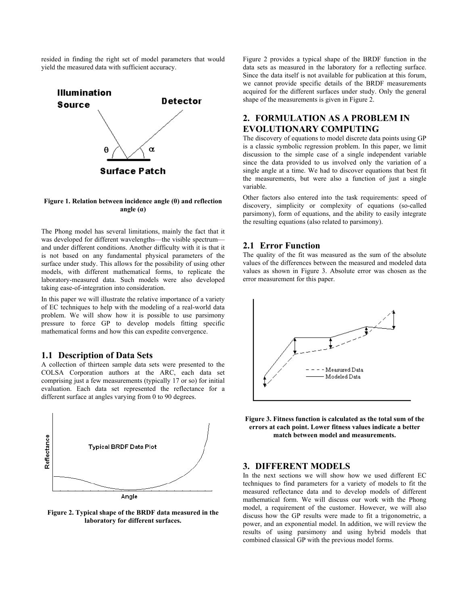resided in finding the right set of model parameters that would yield the measured data with sufficient accuracy.



#### **Figure 1. Relation between incidence angle (θ) and reflection angle (α)**

The Phong model has several limitations, mainly the fact that it was developed for different wavelengths—the visible spectrum and under different conditions. Another difficulty with it is that it is not based on any fundamental physical parameters of the surface under study. This allows for the possibility of using other models, with different mathematical forms, to replicate the laboratory-measured data. Such models were also developed taking ease-of-integration into consideration.

In this paper we will illustrate the relative importance of a variety of EC techniques to help with the modeling of a real-world data problem. We will show how it is possible to use parsimony pressure to force GP to develop models fitting specific mathematical forms and how this can expedite convergence.

## **1.1 Description of Data Sets**

A collection of thirteen sample data sets were presented to the COLSA Corporation authors at the ARC, each data set comprising just a few measurements (typically 17 or so) for initial evaluation. Each data set represented the reflectance for a different surface at angles varying from 0 to 90 degrees.



**Figure 2. Typical shape of the BRDF data measured in the laboratory for different surfaces.** 

Figure 2 provides a typical shape of the BRDF function in the data sets as measured in the laboratory for a reflecting surface. Since the data itself is not available for publication at this forum, we cannot provide specific details of the BRDF measurements acquired for the different surfaces under study. Only the general shape of the measurements is given in Figure 2.

# **2. FORMULATION AS A PROBLEM IN EVOLUTIONARY COMPUTING**

The discovery of equations to model discrete data points using GP is a classic symbolic regression problem. In this paper, we limit discussion to the simple case of a single independent variable since the data provided to us involved only the variation of a single angle at a time. We had to discover equations that best fit the measurements, but were also a function of just a single variable.

Other factors also entered into the task requirements: speed of discovery, simplicity or complexity of equations (so-called parsimony), form of equations, and the ability to easily integrate the resulting equations (also related to parsimony).

### **2.1 Error Function**

The quality of the fit was measured as the sum of the absolute values of the differences between the measured and modeled data values as shown in Figure 3. Absolute error was chosen as the error measurement for this paper.



**Figure 3. Fitness function is calculated as the total sum of the errors at each point. Lower fitness values indicate a better match between model and measurements.** 

## **3. DIFFERENT MODELS**

In the next sections we will show how we used different EC techniques to find parameters for a variety of models to fit the measured reflectance data and to develop models of different mathematical form. We will discuss our work with the Phong model, a requirement of the customer. However, we will also discuss how the GP results were made to fit a trigonometric, a power, and an exponential model. In addition, we will review the results of using parsimony and using hybrid models that combined classical GP with the previous model forms.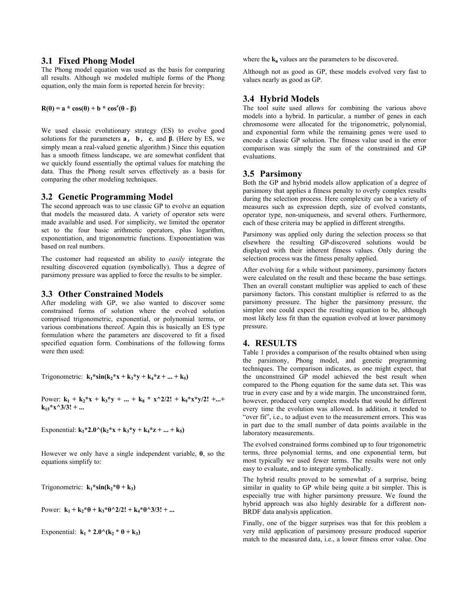## **3.1 Fixed Phong Model**

The Phong model equation was used as the basis for comparing all results. Although we modeled multiple forms of the Phong equation, only the main form is reported herein for brevity:

## $R(\theta) = a * cos(\theta) + b * cos^{c}(\theta - \beta)$

We used classic evolutionary strategy (ES) to evolve good solutions for the parameters **a, b, c**, and **β**. (Here by ES, we simply mean a real-valued genetic algorithm.) Since this equation has a smooth fitness landscape, we are somewhat confident that we quickly found essentially the optimal values for matching the data. Thus the Phong result serves effectively as a basis for comparing the other modeling techniques.

## **3.2 Genetic Programming Model**

The second approach was to use classic GP to evolve an equation that models the measured data. A variety of operator sets were made available and used. For simplicity, we limited the operator set to the four basic arithmetic operators, plus logarithm, exponentiation, and trigonometric functions. Exponentiation was based on real numbers.

The customer had requested an ability to *easily* integrate the resulting discovered equation (symbolically). Thus a degree of parsimony pressure was applied to force the results to be simpler.

## **3.3 Other Constrained Models**

After modeling with GP, we also wanted to discover some constrained forms of solution where the evolved solution comprised trigonometric, exponential, or polynomial terms, or various combinations thereof. Again this is basically an ES type formulation where the parameters are discovered to fit a fixed specified equation form. Combinations of the following forms were then used:

Trigonometric:  $\mathbf{k}_1$ \*sin( $\mathbf{k}_2$ \*x +  $\mathbf{k}_3$ \*y +  $\mathbf{k}_4$ \*z + ... +  $\mathbf{k}_5$ )

Power:  $k_1 + k_2 * x + k_3 * y + ... + k_8 * x^2/2! + k_9 * x * y/2! + ... +$  $k_{15} * x \land 3/3! + ...$ 

Exponential:  $k_1*2.0^{\text{A}}(k_2* x + k_3* y + k_4* z + ... + k_5)$ 

However we only have a single independent variable, **θ**, so the equations simplify to:

Trigonometric:  $\mathbf{k}_1 \cdot \sin(\mathbf{k}_2 \cdot \theta + \mathbf{k}_3)$ 

Power:  $k_1 + k_2 * \theta + k_3 * \theta^2/2! + k_4 * \theta^3/3! + ...$ 

Exponential:  $\mathbf{k}_1 * 2.0^{\wedge} (\mathbf{k}_2 * \theta + \mathbf{k}_3)$ 

where the  $\mathbf{k}_n$  values are the parameters to be discovered.

Although not as good as GP, these models evolved very fast to values nearly as good as GP.

## **3.4 Hybrid Models**

The tool suite used allows for combining the various above models into a hybrid. In particular, a number of genes in each chromosome were allocated for the trigonometric, polynomial, and exponential form while the remaining genes were used to encode a classic GP solution. The fitness value used in the error comparison was simply the sum of the constrained and GP evaluations.

## **3.5 Parsimony**

Both the GP and hybrid models allow application of a degree of parsimony that applies a fitness penalty to overly complex results during the selection process. Here complexity can be a variety of measures such as expression depth, size of evolved constants, operator type, non-uniqueness, and several others. Furthermore, each of these criteria may be applied in different strengths.

Parsimony was applied only during the selection process so that elsewhere the resulting GP-discovered solutions would be displayed with their inherent fitness values. Only during the selection process was the fitness penalty applied.

After evolving for a while without parsimony, parsimony factors were calculated on the result and these became the base settings. Then an overall constant multiplier was applied to each of these parsimony factors. This constant multiplier is referred to as the parsimony pressure. The higher the parsimony pressure, the simpler one could expect the resulting equation to be, although most likely less fit than the equation evolved at lower parsimony pressure.

## **4. RESULTS**

Table 1 provides a comparison of the results obtained when using the parsimony, Phong model, and genetic programming techniques. The comparison indicates, as one might expect, that the unconstrained GP model achieved the best result when compared to the Phong equation for the same data set. This was true in every case and by a wide margin. The unconstrained form, however, produced very complex models that would be different every time the evolution was allowed. In addition, it tended to "over fit", i.e., to adjust even to the measurement errors. This was in part due to the small number of data points available in the laboratory measurements.

The evolved constrained forms combined up to four trigonometric terms, three polynomial terms, and one exponential term, but most typically we used fewer terms. The results were not only easy to evaluate, and to integrate symbolically.

The hybrid results proved to be somewhat of a surprise, being similar in quality to GP while being quite a bit simpler. This is especially true with higher parsimony pressure. We found the hybrid approach was also highly desirable for a different non-BRDF data analysis application.

Finally, one of the bigger surprises was that for this problem a very mild application of parsimony pressure produced superior match to the measured data, i.e., a lower fitness error value. One